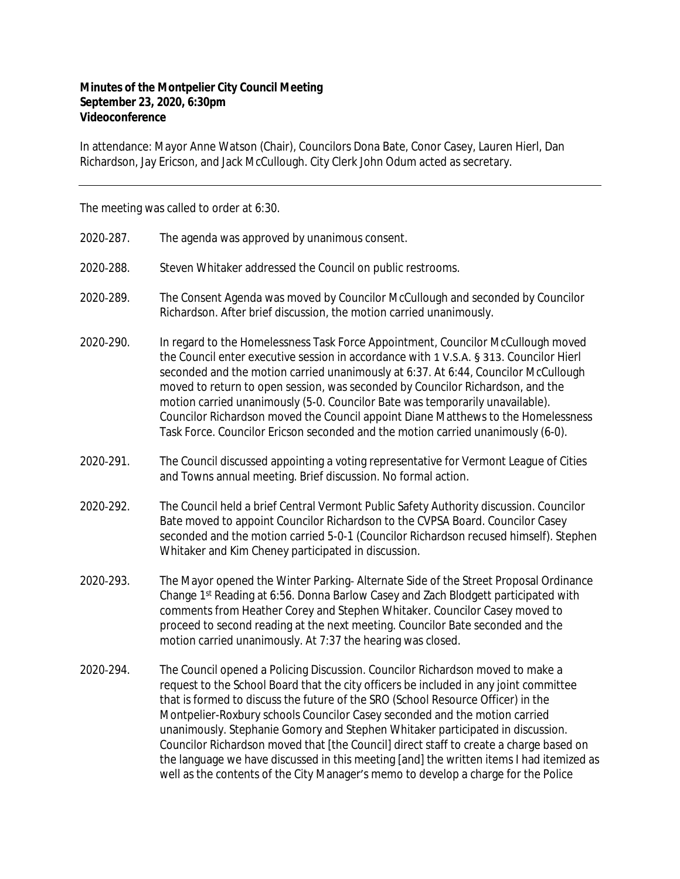## **Minutes of the Montpelier City Council Meeting September 23, 2020, 6:30pm Videoconference**

In attendance: Mayor Anne Watson (Chair), Councilors Dona Bate, Conor Casey, Lauren Hierl, Dan Richardson, Jay Ericson, and Jack McCullough. City Clerk John Odum acted as secretary.

The meeting was called to order at 6:30.

- 2020‐287. The agenda was approved by unanimous consent.
- 2020‐288. Steven Whitaker addressed the Council on public restrooms.
- 2020‐289. The Consent Agenda was moved by Councilor McCullough and seconded by Councilor Richardson. After brief discussion, the motion carried unanimously.
- 2020‐290. In regard to the Homelessness Task Force Appointment, Councilor McCullough moved the Council enter executive session in accordance with 1 V.S.A. § 313. Councilor Hierl seconded and the motion carried unanimously at 6:37. At 6:44, Councilor McCullough moved to return to open session, was seconded by Councilor Richardson, and the motion carried unanimously (5-0. Councilor Bate was temporarily unavailable). Councilor Richardson moved the Council appoint Diane Matthews to the Homelessness Task Force. Councilor Ericson seconded and the motion carried unanimously (6-0).
- 2020‐291. The Council discussed appointing a voting representative for Vermont League of Cities and Towns annual meeting. Brief discussion. No formal action.
- 2020‐292. The Council held a brief Central Vermont Public Safety Authority discussion. Councilor Bate moved to appoint Councilor Richardson to the CVPSA Board. Councilor Casey seconded and the motion carried 5-0-1 (Councilor Richardson recused himself). Stephen Whitaker and Kim Cheney participated in discussion.
- 2020‐293. The Mayor opened the Winter Parking‐ Alternate Side of the Street Proposal Ordinance Change 1st Reading at 6:56. Donna Barlow Casey and Zach Blodgett participated with comments from Heather Corey and Stephen Whitaker. Councilor Casey moved to proceed to second reading at the next meeting. Councilor Bate seconded and the motion carried unanimously. At 7:37 the hearing was closed.
- 2020‐294. The Council opened a Policing Discussion. Councilor Richardson moved to make a request to the School Board that the city officers be included in any joint committee that is formed to discuss the future of the SRO (School Resource Officer) in the Montpelier-Roxbury schools Councilor Casey seconded and the motion carried unanimously. Stephanie Gomory and Stephen Whitaker participated in discussion. Councilor Richardson moved that [the Council] direct staff to create a charge based on the language we have discussed in this meeting [and] the written items I had itemized as well as the contents of the City Manager's memo to develop a charge for the Police